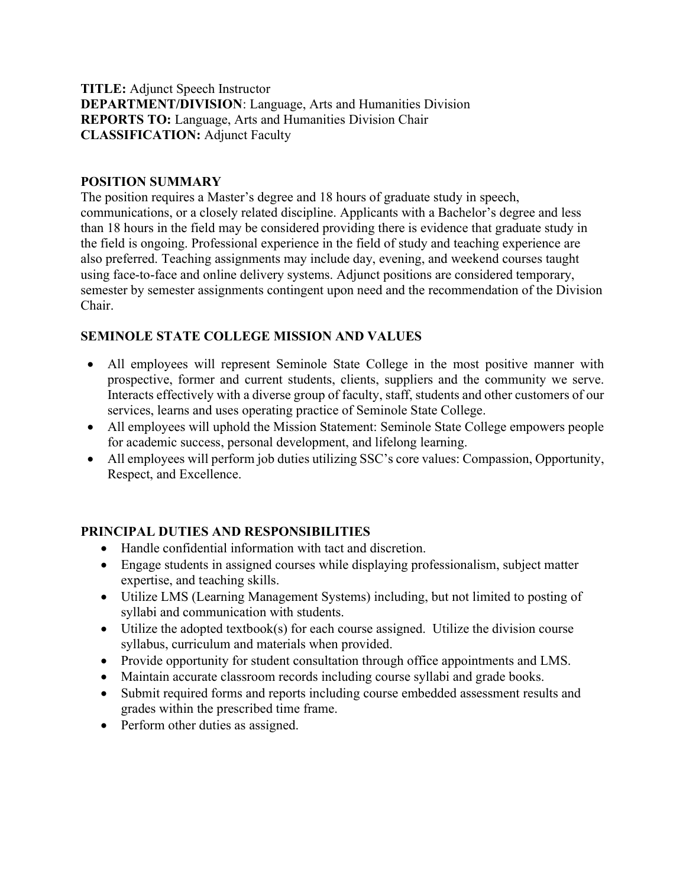### TITLE: Adjunct Speech Instructor DEPARTMENT/DIVISION: Language, Arts and Humanities Division REPORTS TO: Language, Arts and Humanities Division Chair CLASSIFICATION: Adjunct Faculty

### POSITION SUMMARY

The position requires a Master's degree and 18 hours of graduate study in speech, communications, or a closely related discipline. Applicants with a Bachelor's degree and less than 18 hours in the field may be considered providing there is evidence that graduate study in the field is ongoing. Professional experience in the field of study and teaching experience are also preferred. Teaching assignments may include day, evening, and weekend courses taught using face-to-face and online delivery systems. Adjunct positions are considered temporary, semester by semester assignments contingent upon need and the recommendation of the Division Chair.

#### SEMINOLE STATE COLLEGE MISSION AND VALUES

- All employees will represent Seminole State College in the most positive manner with prospective, former and current students, clients, suppliers and the community we serve. Interacts effectively with a diverse group of faculty, staff, students and other customers of our services, learns and uses operating practice of Seminole State College.
- All employees will uphold the Mission Statement: Seminole State College empowers people for academic success, personal development, and lifelong learning.
- All employees will perform job duties utilizing SSC's core values: Compassion, Opportunity, Respect, and Excellence.

### PRINCIPAL DUTIES AND RESPONSIBILITIES

- Handle confidential information with tact and discretion.
- Engage students in assigned courses while displaying professionalism, subject matter expertise, and teaching skills.
- Utilize LMS (Learning Management Systems) including, but not limited to posting of syllabi and communication with students.
- $\bullet$  Utilize the adopted textbook(s) for each course assigned. Utilize the division course syllabus, curriculum and materials when provided.
- Provide opportunity for student consultation through office appointments and LMS.
- Maintain accurate classroom records including course syllabi and grade books.
- Submit required forms and reports including course embedded assessment results and grades within the prescribed time frame.
- Perform other duties as assigned.